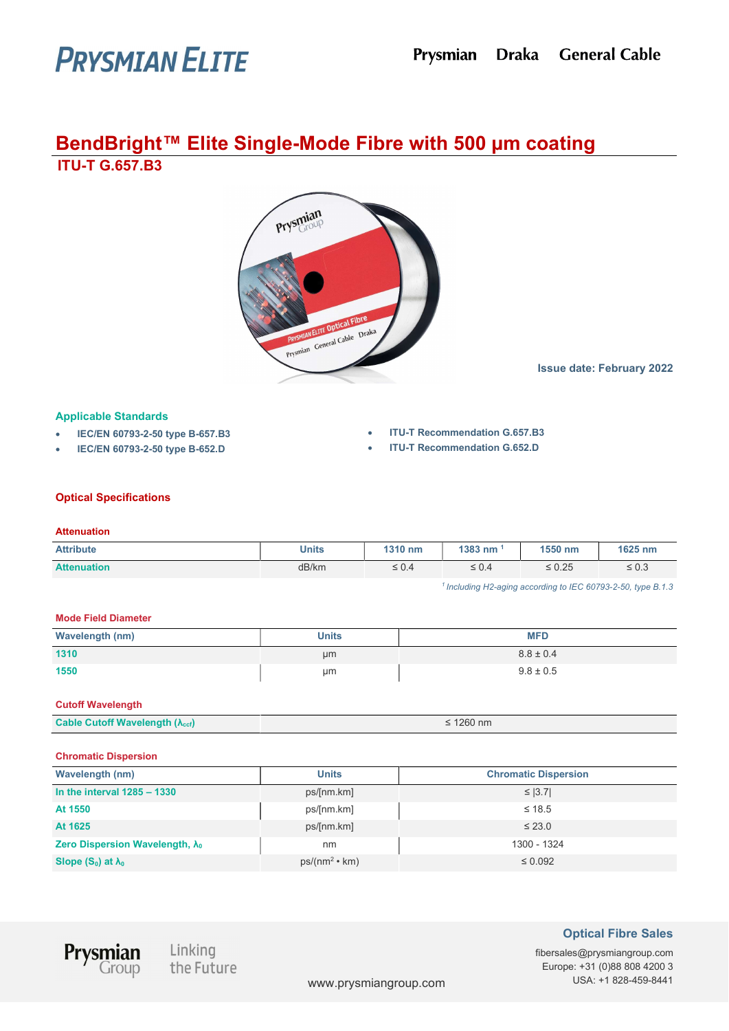# **PRYSMIAN ELITE**

# BendBright™ Elite Single-Mode Fibre with 500 µm coating ITU-T G.657.B3



Issue date: February 2022

# Applicable Standards

- IEC/EN 60793-2-50 type B-657.B3
- IEC/EN 60793-2-50 type B-652.D
- ITU-T Recommendation G.657.B3
- ITU-T Recommendation G.652.D

# Optical Specifications

#### **Attenuation**

| <b>Attribute</b>   | Units | 1310 nm                    | 1383 nm    | 1550 nm     | 1625 nm    |
|--------------------|-------|----------------------------|------------|-------------|------------|
| <b>Attenuation</b> | dB/km | $\sim$ 0 $\alpha$<br>≏.∪ ≤ | $\leq 0.4$ | $\leq 0.25$ | $\leq 0.3$ |

 $<sup>1</sup>$  Including H2-aging according to IEC 60793-2-50, type B.1.3</sup>

#### Mode Field Diameter

| <b>Wavelength (nm)</b> | <b>Units</b> | <b>MFD</b>    |
|------------------------|--------------|---------------|
| 1310                   | µm           | $8.8 \pm 0.4$ |
| 1550                   | µm           | $9.8 \pm 0.5$ |

#### Cutoff Wavelength

| <b>Cable Cutoff Wavelength (<math>\lambda</math><sub>ccf</sub>)</b> | 1260 nm |
|---------------------------------------------------------------------|---------|
|                                                                     |         |

#### Chromatic Dispersion

| <b>Wavelength (nm)</b>                  | <b>Units</b>         | <b>Chromatic Dispersion</b> |
|-----------------------------------------|----------------------|-----------------------------|
| In the interval $1285 - 1330$           | ps/[nm.km]           | $\leq$  3.7                 |
| At 1550                                 | ps/[nm.km]           | $\leq 18.5$                 |
| At 1625                                 | ps/[nm.km]           | $\leq$ 23.0                 |
| Zero Dispersion Wavelength, $\lambda_0$ | nm                   | 1300 - 1324                 |
| Slope $(S_0)$ at $\lambda_0$            | $ps/(nm^2 \cdot km)$ | $\leq 0.092$                |



Linking<br>the Futi the Future

# Optical Fibre Sales

fibersales@prysmiangroup.com Europe: +31 (0)88 808 4200 3 www.prysmiangroup.com USA: +1 828-459-8441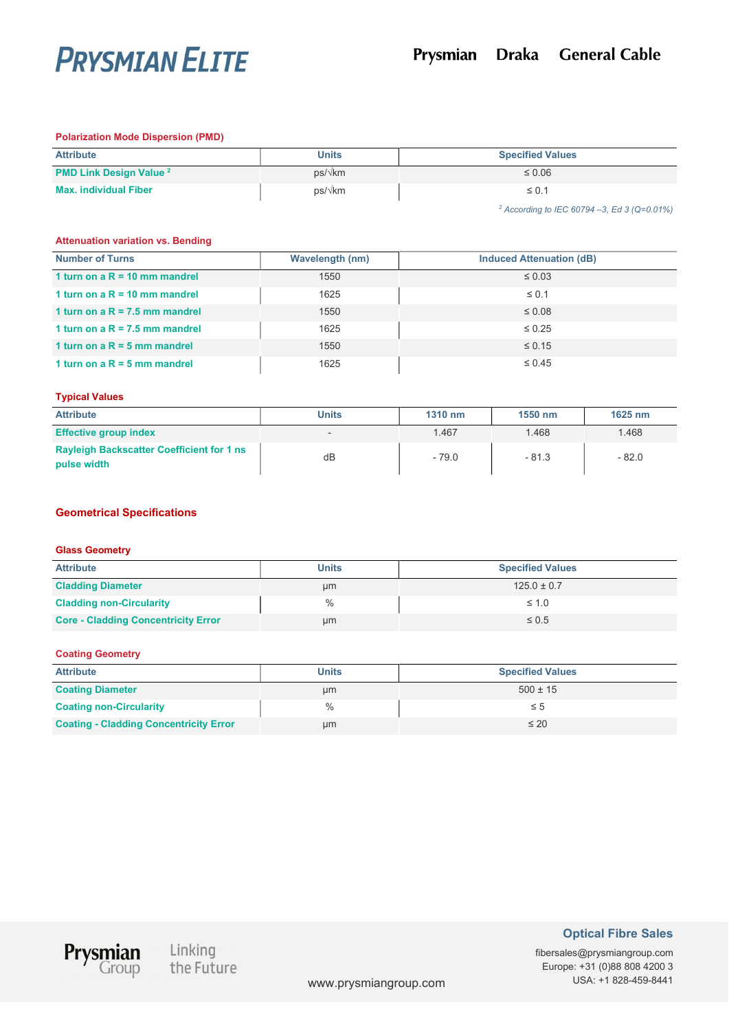

#### Polarization Mode Dispersion (PMD)

| <b>Attribute</b>               | <b>Units</b> | <b>Specified Values</b> |
|--------------------------------|--------------|-------------------------|
| <b>PMD Link Design Value 2</b> | ps/√km       | $\leq 0.06$             |
| <b>Max. individual Fiber</b>   | ps/√km       | $\leq 0.1$              |

2 According to IEC 60794 –3, Ed 3 (Q=0.01%)

#### Attenuation variation vs. Bending

| <b>Number of Turns</b>           | <b>Wavelength (nm)</b> | <b>Induced Attenuation (dB)</b> |
|----------------------------------|------------------------|---------------------------------|
| 1 turn on a $R = 10$ mm mandrel  | 1550                   | $\leq 0.03$                     |
| 1 turn on a $R = 10$ mm mandrel  | 1625                   | $\leq 0.1$                      |
| 1 turn on a $R = 7.5$ mm mandrel | 1550                   | $\leq 0.08$                     |
| 1 turn on a $R = 7.5$ mm mandrel | 1625                   | $\leq 0.25$                     |
| 1 turn on a $R = 5$ mm mandrel   | 1550                   | $\leq 0.15$                     |
| 1 turn on a $R = 5$ mm mandrel   | 1625                   | $\leq 0.45$                     |

### Typical Values

| <b>Attribute</b>                                                | <b>Units</b> | 1310 nm | 1550 nm | 1625 nm |
|-----------------------------------------------------------------|--------------|---------|---------|---------|
| <b>Effective group index</b>                                    |              | 1.467   | 1.468   | 1.468   |
| <b>Rayleigh Backscatter Coefficient for 1 ns</b><br>pulse width | dB           | $-79.0$ | $-81.3$ | $-82.0$ |

# Geometrical Specifications

#### Glass Geometry

| <b>Attribute</b>                           | <b>Units</b> | <b>Specified Values</b> |
|--------------------------------------------|--------------|-------------------------|
| <b>Cladding Diameter</b>                   | µm           | $125.0 \pm 0.7$         |
| <b>Cladding non-Circularity</b>            | %            | $\leq 1.0$              |
| <b>Core - Cladding Concentricity Error</b> | µm           | $\leq 0.5$              |

# Coating Geometry

| <b>Attribute</b>                              | <b>Units</b> | <b>Specified Values</b> |
|-----------------------------------------------|--------------|-------------------------|
| <b>Coating Diameter</b>                       | μm           | $500 \pm 15$            |
| <b>Coating non-Circularity</b>                | $\%$         | ≤ 5                     |
| <b>Coating - Cladding Concentricity Error</b> | μm           | $\leq 20$               |



Linking<br>the Future

# Optical Fibre Sales

fibersales@prysmiangroup.com Europe: +31 (0)88 808 4200 3 www.prysmiangroup.com USA: +1 828-459-8441